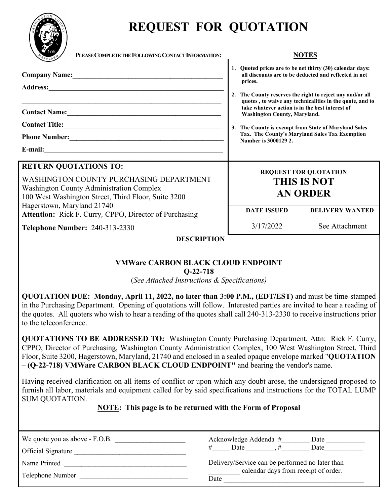

# **REQUEST FOR QUOTATION**

| PLEASE COMPLETE THE FOLLOWING CONTACT INFORMATION:                                                                                                                                                                                                                                                                                                                                     | <b>NOTES</b>                                                                                                                                                                                                                                                                                                                                                                                                                                                                       |  |
|----------------------------------------------------------------------------------------------------------------------------------------------------------------------------------------------------------------------------------------------------------------------------------------------------------------------------------------------------------------------------------------|------------------------------------------------------------------------------------------------------------------------------------------------------------------------------------------------------------------------------------------------------------------------------------------------------------------------------------------------------------------------------------------------------------------------------------------------------------------------------------|--|
| Company Name: Manual Manual Manual Manual Manual Manual Manual Manual Manual Manual Manual Manual Manual Manua<br>Address: No. 1996. The Committee of the Committee of the Committee of the Committee of the Committee of the Committee of the Committee of the Committee of the Committee of the Committee of the Committee of the Committee of<br>Contact Name: <u>Contact Name:</u> | 1. Quoted prices are to be net thirty (30) calendar days:<br>all discounts are to be deducted and reflected in net<br>prices.<br>2. The County reserves the right to reject any and/or all<br>quotes, to waive any technicalities in the quote, and to<br>take whatever action is in the best interest of<br><b>Washington County, Maryland.</b><br>3. The County is exempt from State of Maryland Sales<br>Tax. The County's Maryland Sales Tax Exemption<br>Number is 3000129 2. |  |
| <b>RETURN QUOTATIONS TO:</b><br>WASHINGTON COUNTY PURCHASING DEPARTMENT<br><b>Washington County Administration Complex</b><br>100 West Washington Street, Third Floor, Suite 3200<br>Hagerstown, Maryland 21740<br><b>Attention:</b> Rick F. Curry, CPPO, Director of Purchasing<br><b>Telephone Number: 240-313-2330</b>                                                              | <b>REQUEST FOR QUOTATION</b><br><b>THIS IS NOT</b><br><b>AN ORDER</b><br><b>DELIVERY WANTED</b><br><b>DATE ISSUED</b><br>3/17/2022<br>See Attachment                                                                                                                                                                                                                                                                                                                               |  |
| <b>DESCRIPTION</b>                                                                                                                                                                                                                                                                                                                                                                     |                                                                                                                                                                                                                                                                                                                                                                                                                                                                                    |  |
|                                                                                                                                                                                                                                                                                                                                                                                        |                                                                                                                                                                                                                                                                                                                                                                                                                                                                                    |  |

#### **VMWare CARBON BLACK CLOUD ENDPOINT Q-22-718**

(*See Attached Instructions & Specifications)*

**QUOTATION DUE: Monday, April 11, 2022, no later than 3:00 P.M., (EDT/EST)** and must be time-stamped in the Purchasing Department. Opening of quotations will follow. Interested parties are invited to hear a reading of the quotes. All quoters who wish to hear a reading of the quotes shall call 240-313-2330 to receive instructions prior to the teleconference.

**QUOTATIONS TO BE ADDRESSED TO:** Washington County Purchasing Department, Attn: Rick F. Curry, CPPO, Director of Purchasing, Washington County Administration Complex, 100 West Washington Street, Third Floor, Suite 3200, Hagerstown, Maryland, 21740 and enclosed in a sealed opaque envelope marked "**QUOTATION – (Q-22-718) VMWare CARBON BLACK CLOUD ENDPOINT"** and bearing the vendor's name.

Having received clarification on all items of conflict or upon which any doubt arose, the undersigned proposed to furnish all labor, materials and equipment called for by said specifications and instructions for the TOTAL LUMP SUM QUOTATION.

# **NOTE: This page is to be returned with the Form of Proposal**

| We quote you as above - F.O.B.<br>Official Signature | Acknowledge Addenda #<br>Date<br>Date<br>Date   |  |  |
|------------------------------------------------------|-------------------------------------------------|--|--|
| Name Printed                                         | Delivery/Service can be performed no later than |  |  |
| Telephone Number                                     | calendar days from receipt of order.<br>Date    |  |  |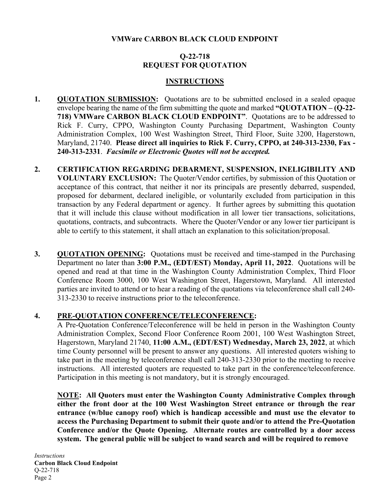# **VMWare CARBON BLACK CLOUD ENDPOINT**

# **Q-22-718 REQUEST FOR QUOTATION**

#### **INSTRUCTIONS**

- **1. QUOTATION SUBMISSION:** Quotations are to be submitted enclosed in a sealed opaque envelope bearing the name of the firm submitting the quote and marked **"QUOTATION – (Q-22- 718) VMWare CARBON BLACK CLOUD ENDPOINT"**. Quotations are to be addressed to Rick F. Curry, CPPO, Washington County Purchasing Department, Washington County Administration Complex, 100 West Washington Street, Third Floor, Suite 3200, Hagerstown, Maryland, 21740. **Please direct all inquiries to Rick F. Curry, CPPO, at 240-313-2330, Fax - 240-313-2331**. *Facsimile or Electronic Quotes will not be accepted.*
- **2. CERTIFICATION REGARDING DEBARMENT, SUSPENSION, INELIGIBILITY AND VOLUNTARY EXCLUSION:** The Quoter/Vendor certifies, by submission of this Quotation or acceptance of this contract, that neither it nor its principals are presently debarred, suspended, proposed for debarment, declared ineligible, or voluntarily excluded from participation in this transaction by any Federal department or agency. It further agrees by submitting this quotation that it will include this clause without modification in all lower tier transactions, solicitations, quotations, contracts, and subcontracts. Where the Quoter/Vendor or any lower tier participant is able to certify to this statement, it shall attach an explanation to this solicitation/proposal.
- **3. QUOTATION OPENING:** Quotations must be received and time-stamped in the Purchasing Department no later than **3:00 P.M., (EDT/EST) Monday, April 11, 2022**. Quotations will be opened and read at that time in the Washington County Administration Complex, Third Floor Conference Room 3000, 100 West Washington Street, Hagerstown, Maryland. All interested parties are invited to attend or to hear a reading of the quotations via teleconference shall call 240- 313-2330 to receive instructions prior to the teleconference.

# **4. PRE-QUOTATION CONFERENCE/TELECONFERENCE:**

A Pre-Quotation Conference/Teleconference will be held in person in the Washington County Administration Complex, Second Floor Conference Room 2001, 100 West Washington Street, Hagerstown, Maryland 21740, **11:00 A.M., (EDT/EST) Wednesday, March 23, 2022**, at which time County personnel will be present to answer any questions. All interested quoters wishing to take part in the meeting by teleconference shall call 240-313-2330 prior to the meeting to receive instructions. All interested quoters are requested to take part in the conference/teleconference. Participation in this meeting is not mandatory, but it is strongly encouraged.

**NOTE: All Quoters must enter the Washington County Administrative Complex through either the front door at the 100 West Washington Street entrance or through the rear entrance (w/blue canopy roof) which is handicap accessible and must use the elevator to access the Purchasing Department to submit their quote and/or to attend the Pre-Quotation Conference and/or the Quote Opening. Alternate routes are controlled by a door access system. The general public will be subject to wand search and will be required to remove**

*Instructions* **Carbon Black Cloud Endpoint** Q-22-718 Page 2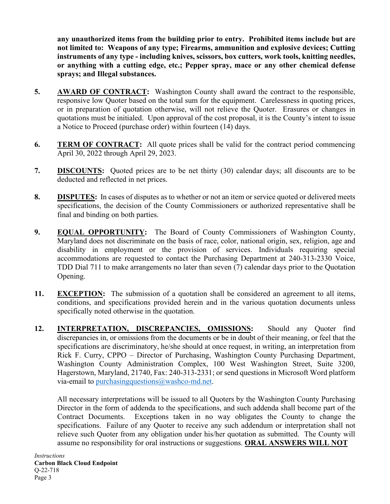**any unauthorized items from the building prior to entry. Prohibited items include but are not limited to: Weapons of any type; Firearms, ammunition and explosive devices; Cutting instruments of any type - including knives, scissors, box cutters, work tools, knitting needles, or anything with a cutting edge, etc.; Pepper spray, mace or any other chemical defense sprays; and Illegal substances.**

- **5. AWARD OF CONTRACT:** Washington County shall award the contract to the responsible, responsive low Quoter based on the total sum for the equipment. Carelessness in quoting prices, or in preparation of quotation otherwise, will not relieve the Quoter. Erasures or changes in quotations must be initialed. Upon approval of the cost proposal, it is the County's intent to issue a Notice to Proceed (purchase order) within fourteen (14) days.
- **6. TERM OF CONTRACT:** All quote prices shall be valid for the contract period commencing April 30, 2022 through April 29, 2023.
- **7. DISCOUNTS:** Quoted prices are to be net thirty (30) calendar days; all discounts are to be deducted and reflected in net prices.
- **8. DISPUTES:** In cases of disputes as to whether or not an item or service quoted or delivered meets specifications, the decision of the County Commissioners or authorized representative shall be final and binding on both parties.
- **9. EQUAL OPPORTUNITY:** The Board of County Commissioners of Washington County, Maryland does not discriminate on the basis of race, color, national origin, sex, religion, age and disability in employment or the provision of services. Individuals requiring special accommodations are requested to contact the Purchasing Department at 240-313-2330 Voice, TDD Dial 711 to make arrangements no later than seven (7) calendar days prior to the Quotation Opening.
- **11. EXCEPTION:** The submission of a quotation shall be considered an agreement to all items, conditions, and specifications provided herein and in the various quotation documents unless specifically noted otherwise in the quotation.
- **12. INTERPRETATION, DISCREPANCIES, OMISSIONS:** Should any Quoter find discrepancies in, or omissions from the documents or be in doubt of their meaning, or feel that the specifications are discriminatory, he/she should at once request, in writing, an interpretation from Rick F. Curry, CPPO – Director of Purchasing, Washington County Purchasing Department, Washington County Administration Complex, 100 West Washington Street, Suite 3200, Hagerstown, Maryland, 21740, Fax: 240-313-2331; or send questions in Microsoft Word platform via-email to [purchasingquestions@washco-md.net.](mailto:purchasingquestions@washco-md.net)

All necessary interpretations will be issued to all Quoters by the Washington County Purchasing Director in the form of addenda to the specifications, and such addenda shall become part of the Contract Documents. Exceptions taken in no way obligates the County to change the specifications. Failure of any Quoter to receive any such addendum or interpretation shall not relieve such Quoter from any obligation under his/her quotation as submitted. The County will assume no responsibility for oral instructions or suggestions. **ORAL ANSWERS WILL NOT**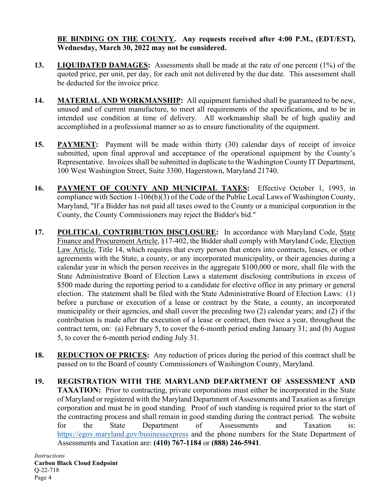# **BE BINDING ON THE COUNTY. Any requests received after 4:00 P.M., (EDT/EST), Wednesday, March 30, 2022 may not be considered.**

- **13. LIQUIDATED DAMAGES:** Assessments shall be made at the rate of one percent (1%) of the quoted price, per unit, per day, for each unit not delivered by the due date. This assessment shall be deducted for the invoice price.
- **14. MATERIAL AND WORKMANSHIP:** All equipment furnished shall be guaranteed to be new, unused and of current manufacture, to meet all requirements of the specifications, and to be in intended use condition at time of delivery. All workmanship shall be of high quality and accomplished in a professional manner so as to ensure functionality of the equipment.
- **15. PAYMENT:** Payment will be made within thirty (30) calendar days of receipt of invoice submitted, upon final approval and acceptance of the operational equipment by the County's Representative. Invoices shall be submitted in duplicate to the Washington County IT Department, 100 West Washington Street, Suite 3300, Hagerstown, Maryland 21740.
- **16. PAYMENT OF COUNTY AND MUNICIPAL TAXES:** Effective October 1, 1993, in compliance with Section 1-106(b)(3) of the Code of the Public Local Laws of Washington County, Maryland, "If a Bidder has not paid all taxes owed to the County or a municipal corporation in the County, the County Commissioners may reject the Bidder's bid."
- **17. POLITICAL CONTRIBUTION DISCLOSURE:** In accordance with Maryland Code, State Finance and Procurement Article, §17-402, the Bidder shall comply with Maryland Code, Election Law Article, Title 14, which requires that every person that enters into contracts, leases, or other agreements with the State, a county, or any incorporated municipality, or their agencies during a calendar year in which the person receives in the aggregate \$100,000 or more, shall file with the State Administrative Board of Election Laws a statement disclosing contributions in excess of \$500 made during the reporting period to a candidate for elective office in any primary or general election. The statement shall be filed with the State Administrative Board of Election Laws: (1) before a purchase or execution of a lease or contract by the State, a county, an incorporated municipality or their agencies, and shall cover the preceding two (2) calendar years; and (2) if the contribution is made after the execution of a lease or contract, then twice a year, throughout the contract term, on: (a) February 5, to cover the 6-month period ending January 31; and (b) August 5, to cover the 6-month period ending July 31.
- **18. REDUCTION OF PRICES:** Any reduction of prices during the period of this contract shall be passed on to the Board of county Commissioners of Washington County, Maryland.
- **19. REGISTRATION WITH THE MARYLAND DEPARTMENT OF ASSESSMENT AND TAXATION:** Prior to contracting, private corporations must either be incorporated in the State of Maryland or registered with the Maryland Department of Assessments and Taxation as a foreign corporation and must be in good standing. Proof of such standing is required prior to the start of the contracting process and shall remain in good standing during the contract period. The website for the State Department of Assessments and Taxation is: <https://egov.maryland.gov/businessexpress> and the phone numbers for the State Department of Assessments and Taxation are: **(410) 767-1184** or **(888) 246-5941**.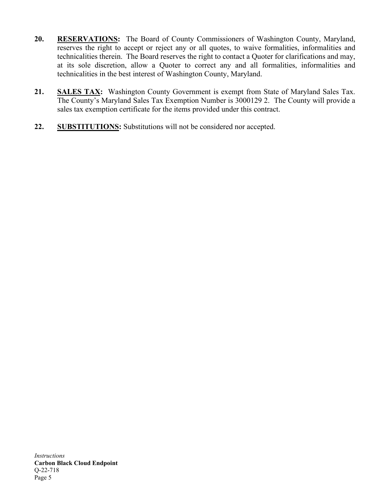- **20. RESERVATIONS:** The Board of County Commissioners of Washington County, Maryland, reserves the right to accept or reject any or all quotes, to waive formalities, informalities and technicalities therein. The Board reserves the right to contact a Quoter for clarifications and may, at its sole discretion, allow a Quoter to correct any and all formalities, informalities and technicalities in the best interest of Washington County, Maryland.
- **21. SALES TAX:** Washington County Government is exempt from State of Maryland Sales Tax. The County's Maryland Sales Tax Exemption Number is 3000129 2. The County will provide a sales tax exemption certificate for the items provided under this contract.
- **22. SUBSTITUTIONS:** Substitutions will not be considered nor accepted.